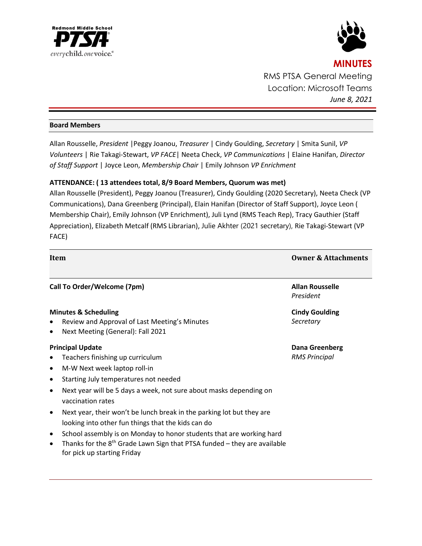



# **MINUTES** RMS PTSA General Meeting Location: Microsoft Teams *June 8, 2021*

# **Board Members**

Allan Rousselle, *President* |Peggy Joanou, *Treasurer* | Cindy Goulding, *Secretary* | Smita Sunil, *VP Volunteers* | Rie Takagi-Stewart, *VP FACE*| Neeta Check, *VP Communications* | Elaine Hanifan, *Director of Staff Support* | Joyce Leon, *Membership Chair* | Emily Johnson *VP Enrichment*

# **ATTENDANCE: ( 13 attendees total, 8/9 Board Members, Quorum was met)**

Allan Rousselle (President), Peggy Joanou (Treasurer), Cindy Goulding (2020 Secretary), Neeta Check (VP Communications), Dana Greenberg (Principal), Elain Hanifan (Director of Staff Support), Joyce Leon ( Membership Chair), Emily Johnson (VP Enrichment), Juli Lynd (RMS Teach Rep), Tracy Gauthier (Staff Appreciation), Elizabeth Metcalf (RMS Librarian), Julie Akhter (2021 secretary), Rie Takagi-Stewart (VP FACE)

| Item                                                                                                                                                                                                                                                                                                                                                                                                                                                                                                                                                                                                                                   | <b>Owner &amp; Attachments</b>                |
|----------------------------------------------------------------------------------------------------------------------------------------------------------------------------------------------------------------------------------------------------------------------------------------------------------------------------------------------------------------------------------------------------------------------------------------------------------------------------------------------------------------------------------------------------------------------------------------------------------------------------------------|-----------------------------------------------|
| Call To Order/Welcome (7pm)                                                                                                                                                                                                                                                                                                                                                                                                                                                                                                                                                                                                            | <b>Allan Rousselle</b><br>President           |
| <b>Minutes &amp; Scheduling</b><br>Review and Approval of Last Meeting's Minutes<br>Next Meeting (General): Fall 2021<br>$\bullet$                                                                                                                                                                                                                                                                                                                                                                                                                                                                                                     | <b>Cindy Goulding</b><br>Secretary            |
| <b>Principal Update</b><br>Teachers finishing up curriculum<br>٠<br>M-W Next week laptop roll-in<br>$\bullet$<br>Starting July temperatures not needed<br>$\bullet$<br>Next year will be 5 days a week, not sure about masks depending on<br>$\bullet$<br>vaccination rates<br>Next year, their won't be lunch break in the parking lot but they are<br>$\bullet$<br>looking into other fun things that the kids can do<br>School assembly is on Monday to honor students that are working hard<br>$\bullet$<br>Thanks for the $8th$ Grade Lawn Sign that PTSA funded – they are available<br>$\bullet$<br>for pick up starting Friday | <b>Dana Greenberg</b><br><b>RMS Principal</b> |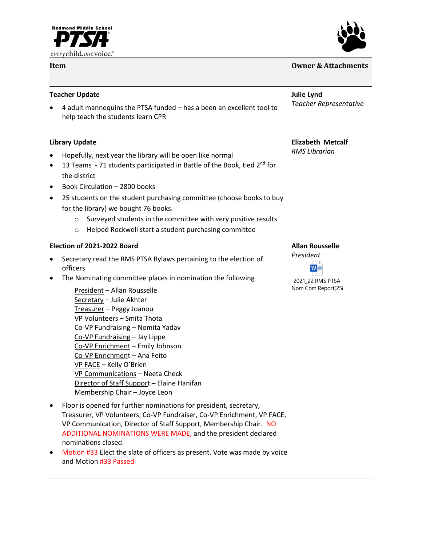



# **Item Owner & Attachments**

### **Teacher Update**

• 4 adult mannequins the PTSA funded – has a been an excellent tool to help teach the students learn CPR

# **Library Update**

- Hopefully, next year the library will be open like normal
- 13 Teams 71 students participated in Battle of the Book, tied  $2^{nd}$  for the district
- Book Circulation 2800 books
- 25 students on the student purchasing committee (choose books to buy for the library) we bought 76 books.
	- o Surveyed students in the committee with very positive results
	- o Helped Rockwell start a student purchasing committee

### **Election of 2021-2022 Board**

- Secretary read the RMS PTSA Bylaws pertaining to the election of officers
- The Nominating committee places in nomination the following

President – Allan Rousselle Secretary – Julie Akhter Treasurer – Peggy Joanou VP Volunteers – Smita Thota Co-VP Fundraising – Nomita Yadav Co-VP Fundraising – Jay Lippe Co-VP Enrichment – Emily Johnson Co-VP Enrichment – Ana Feito VP FACE – Kelly O'Brien VP Communications – Neeta Check Director of Staff Support – Elaine Hanifan Membership Chair – Joyce Leon

**Julie Lynd** *Teacher Representative*

# **Elizabeth Metcalf**

*RMS Librarian*

# **Allan Rousselle**

*President*



2021\_22 RMS PTSA Nom Com Report[25|

- Floor is opened for further nominations for president, secretary, Treasurer, VP Volunteers, Co-VP Fundraiser, Co-VP Enrichment, VP FACE, VP Communication, Director of Staff Support, Membership Chair. NO ADDITIONAL NOMINATIONS WERE MADE, and the president declared nominations closed.
- Motion #33 Elect the slate of officers as present. Vote was made by voice and Motion #33 Passed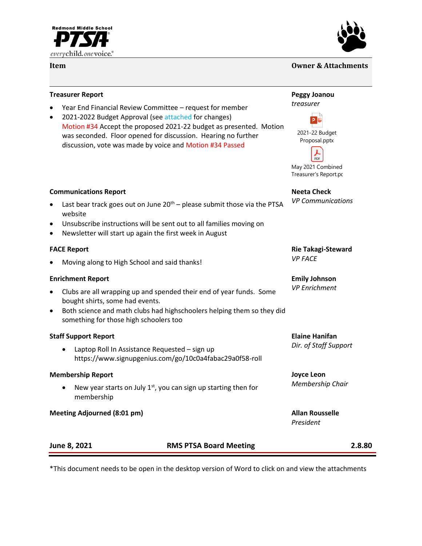



## **Item Owner & Attachments**

#### **Treasurer Report**

- Year End Financial Review Committee request for member
- 2021-2022 Budget Approval (see attached for changes) Motion #34 Accept the proposed 2021-22 budget as presented. Motion was seconded. Floor opened for discussion. Hearing no further discussion, vote was made by voice and Motion #34 Passed

#### **Communications Report**

- Last bear track goes out on June  $20<sup>th</sup>$  please submit those via the PTSA website
- Unsubscribe instructions will be sent out to all families moving on
- Newsletter will start up again the first week in August

#### **FACE Report**

• Moving along to High School and said thanks!

#### **Enrichment Report**

- Clubs are all wrapping up and spended their end of year funds. Some bought shirts, some had events.
- Both science and math clubs had highschoolers helping them so they did something for those high schoolers too

#### **Staff Support Report**

• Laptop Roll In Assistance Requested – sign up https://www.signupgenius.com/go/10c0a4fabac29a0f58-roll

#### **Membership Report**

New year starts on July  $1<sup>st</sup>$ , you can sign up starting then for membership

**Meeting Adjourned (8:01 pm) Allan Rousselle**

#### **Peggy Joanou**





Proposal.pptx

 $PDF$ May 2021 Combined Treasurer's Report.pdf

**Neeta Check** *VP Communications*

#### **Rie Takagi-Steward** *VP FACE*

**Emily Johnson** *VP Enrichment*

**Elaine Hanifan** *Dir. of Staff Support*

### **Joyce Leon** *Membership Chair*

*President*

| June 8, 2021 | <b>RMS PTSA Board Meeting</b> | 2.8.80 |
|--------------|-------------------------------|--------|
|              |                               |        |

\*This document needs to be open in the desktop version of Word to click on and view the attachments